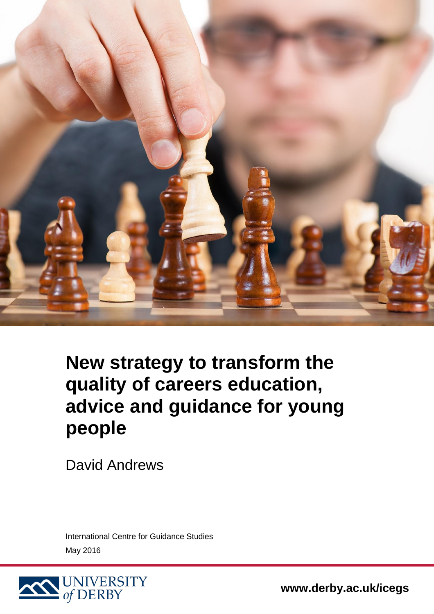

**New strategy to transform the quality of careers education, advice and guidance for young people**

David Andrews

International Centre for Guidance Studies May 2016



**www.derby.ac.uk/icegs**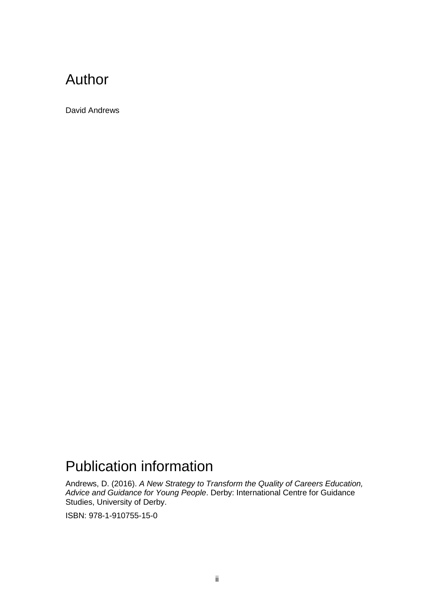### Author

David Andrews

## Publication information

Andrews, D. (2016). *A New Strategy to Transform the Quality of Careers Education, Advice and Guidance for Young People*. Derby: International Centre for Guidance Studies, University of Derby.

ISBN: 978-1-910755-15-0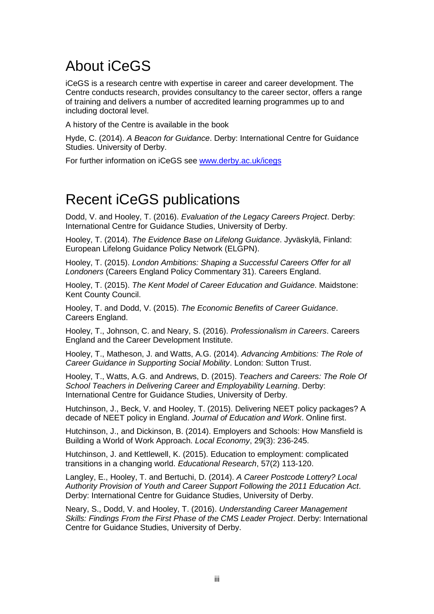## About iCeGS

iCeGS is a research centre with expertise in career and career development. The Centre conducts research, provides consultancy to the career sector, offers a range of training and delivers a number of accredited learning programmes up to and including doctoral level.

A history of the Centre is available in the book

Hyde, C. (2014). *A Beacon for Guidance*. Derby: International Centre for Guidance Studies. University of Derby.

For further information on iCeGS see [www.derby.ac.uk/icegs](http://www.derby.ac.uk/icegs)

### Recent iCeGS publications

Dodd, V. and Hooley, T. (2016). *Evaluation of the Legacy Careers Project*. Derby: International Centre for Guidance Studies, University of Derby.

Hooley, T. (2014). *The Evidence Base on Lifelong Guidance*. Jyväskylä, Finland: European Lifelong Guidance Policy Network (ELGPN).

Hooley, T. (2015). *London Ambitions: Shaping a Successful Careers Offer for all Londoners* (Careers England Policy Commentary 31). Careers England.

Hooley, T. (2015). *The Kent Model of Career Education and Guidance*. Maidstone: Kent County Council.

Hooley, T. and Dodd, V. (2015). *The Economic Benefits of Career Guidance*. Careers England.

Hooley, T., Johnson, C. and Neary, S. (2016). *Professionalism in Careers*. Careers England and the Career Development Institute.

Hooley, T., Matheson, J. and Watts, A.G. (2014). *Advancing Ambitions: The Role of Career Guidance in Supporting Social Mobility*. London: Sutton Trust.

Hooley, T., Watts, A.G. and Andrews, D. (2015). *Teachers and Careers: The Role Of School Teachers in Delivering Career and Employability Learning*. Derby: International Centre for Guidance Studies, University of Derby.

Hutchinson, J., Beck, V. and Hooley, T. (2015). Delivering NEET policy packages? A decade of NEET policy in England. *Journal of Education and Work*. Online first.

Hutchinson, J., and Dickinson, B. (2014). Employers and Schools: How Mansfield is Building a World of Work Approach. *Local Economy*, 29(3): 236-245.

Hutchinson, J. and Kettlewell, K. (2015). Education to employment: complicated transitions in a changing world. *Educational Research*, 57(2) 113-120.

Langley, E., Hooley, T. and Bertuchi, D. (2014). *A Career Postcode Lottery? Local Authority Provision of Youth and Career Support Following the 2011 Education Act*. Derby: International Centre for Guidance Studies, University of Derby.

Neary, S., Dodd, V. and Hooley, T. (2016). *Understanding Career Management Skills: Findings From the First Phase of the CMS Leader Project*. Derby: International Centre for Guidance Studies, University of Derby.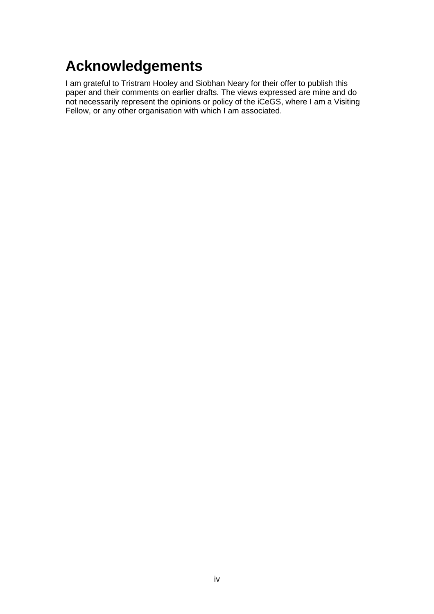## <span id="page-3-0"></span>**Acknowledgements**

I am grateful to Tristram Hooley and Siobhan Neary for their offer to publish this paper and their comments on earlier drafts. The views expressed are mine and do not necessarily represent the opinions or policy of the iCeGS, where I am a Visiting Fellow, or any other organisation with which I am associated.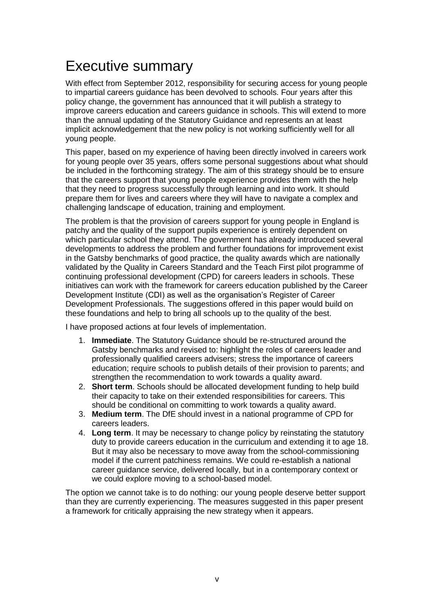## <span id="page-4-0"></span>Executive summary

With effect from September 2012, responsibility for securing access for young people to impartial careers guidance has been devolved to schools. Four years after this policy change, the government has announced that it will publish a strategy to improve careers education and careers guidance in schools. This will extend to more than the annual updating of the Statutory Guidance and represents an at least implicit acknowledgement that the new policy is not working sufficiently well for all young people.

This paper, based on my experience of having been directly involved in careers work for young people over 35 years, offers some personal suggestions about what should be included in the forthcoming strategy. The aim of this strategy should be to ensure that the careers support that young people experience provides them with the help that they need to progress successfully through learning and into work. It should prepare them for lives and careers where they will have to navigate a complex and challenging landscape of education, training and employment.

The problem is that the provision of careers support for young people in England is patchy and the quality of the support pupils experience is entirely dependent on which particular school they attend. The government has already introduced several developments to address the problem and further foundations for improvement exist in the Gatsby benchmarks of good practice, the quality awards which are nationally validated by the Quality in Careers Standard and the Teach First pilot programme of continuing professional development (CPD) for careers leaders in schools. These initiatives can work with the framework for careers education published by the Career Development Institute (CDI) as well as the organisation's Register of Career Development Professionals. The suggestions offered in this paper would build on these foundations and help to bring all schools up to the quality of the best.

I have proposed actions at four levels of implementation.

- 1. **Immediate**. The Statutory Guidance should be re-structured around the Gatsby benchmarks and revised to: highlight the roles of careers leader and professionally qualified careers advisers; stress the importance of careers education; require schools to publish details of their provision to parents; and strengthen the recommendation to work towards a quality award.
- 2. **Short term**. Schools should be allocated development funding to help build their capacity to take on their extended responsibilities for careers. This should be conditional on committing to work towards a quality award.
- 3. **Medium term**. The DfE should invest in a national programme of CPD for careers leaders.
- 4. **Long term**. It may be necessary to change policy by reinstating the statutory duty to provide careers education in the curriculum and extending it to age 18. But it may also be necessary to move away from the school-commissioning model if the current patchiness remains. We could re-establish a national career guidance service, delivered locally, but in a contemporary context or we could explore moving to a school-based model.

The option we cannot take is to do nothing: our young people deserve better support than they are currently experiencing. The measures suggested in this paper present a framework for critically appraising the new strategy when it appears.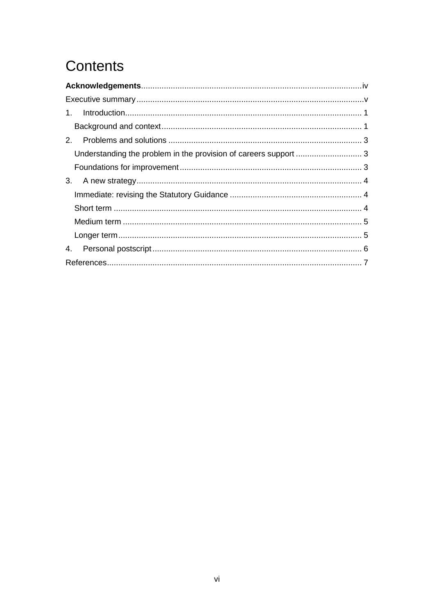# Contents

| $1_{-}$                                                          |  |
|------------------------------------------------------------------|--|
|                                                                  |  |
| 2 <sup>1</sup>                                                   |  |
| Understanding the problem in the provision of careers support  3 |  |
|                                                                  |  |
| 3.                                                               |  |
|                                                                  |  |
|                                                                  |  |
|                                                                  |  |
|                                                                  |  |
| 4.                                                               |  |
|                                                                  |  |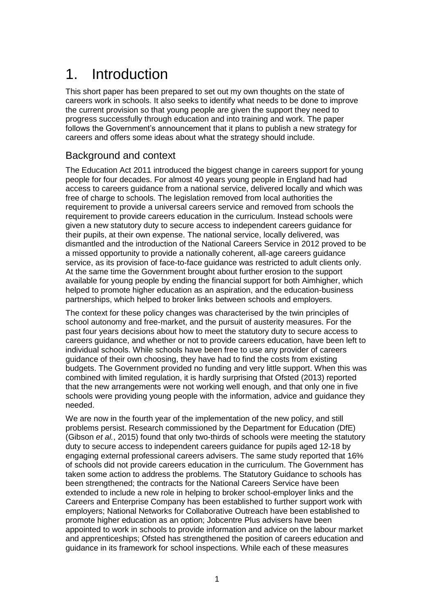## <span id="page-6-0"></span>1. Introduction

This short paper has been prepared to set out my own thoughts on the state of careers work in schools. It also seeks to identify what needs to be done to improve the current provision so that young people are given the support they need to progress successfully through education and into training and work. The paper follows the Government's announcement that it plans to publish a new strategy for careers and offers some ideas about what the strategy should include.

#### <span id="page-6-1"></span>Background and context

The Education Act 2011 introduced the biggest change in careers support for young people for four decades. For almost 40 years young people in England had had access to careers guidance from a national service, delivered locally and which was free of charge to schools. The legislation removed from local authorities the requirement to provide a universal careers service and removed from schools the requirement to provide careers education in the curriculum. Instead schools were given a new statutory duty to secure access to independent careers guidance for their pupils, at their own expense. The national service, locally delivered, was dismantled and the introduction of the National Careers Service in 2012 proved to be a missed opportunity to provide a nationally coherent, all-age careers guidance service, as its provision of face-to-face guidance was restricted to adult clients only. At the same time the Government brought about further erosion to the support available for young people by ending the financial support for both Aimhigher, which helped to promote higher education as an aspiration, and the education-business partnerships, which helped to broker links between schools and employers.

The context for these policy changes was characterised by the twin principles of school autonomy and free-market, and the pursuit of austerity measures. For the past four years decisions about how to meet the statutory duty to secure access to careers guidance, and whether or not to provide careers education, have been left to individual schools. While schools have been free to use any provider of careers guidance of their own choosing, they have had to find the costs from existing budgets. The Government provided no funding and very little support. When this was combined with limited regulation, it is hardly surprising that Ofsted (2013) reported that the new arrangements were not working well enough, and that only one in five schools were providing young people with the information, advice and guidance they needed.

We are now in the fourth year of the implementation of the new policy, and still problems persist. Research commissioned by the Department for Education (DfE) (Gibson *et al.*, 2015) found that only two-thirds of schools were meeting the statutory duty to secure access to independent careers guidance for pupils aged 12-18 by engaging external professional careers advisers. The same study reported that 16% of schools did not provide careers education in the curriculum. The Government has taken some action to address the problems. The Statutory Guidance to schools has been strengthened; the contracts for the National Careers Service have been extended to include a new role in helping to broker school-employer links and the Careers and Enterprise Company has been established to further support work with employers; National Networks for Collaborative Outreach have been established to promote higher education as an option; Jobcentre Plus advisers have been appointed to work in schools to provide information and advice on the labour market and apprenticeships; Ofsted has strengthened the position of careers education and guidance in its framework for school inspections. While each of these measures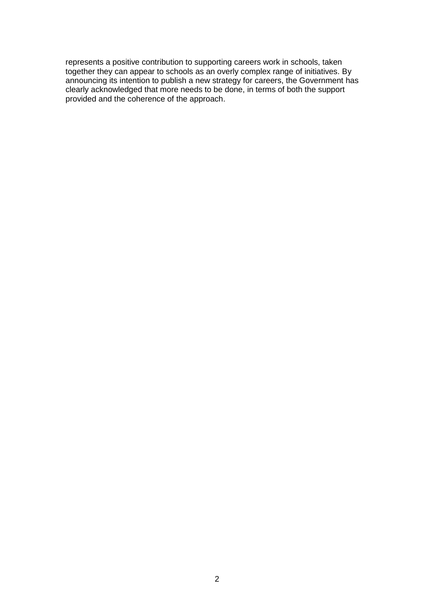represents a positive contribution to supporting careers work in schools, taken together they can appear to schools as an overly complex range of initiatives. By announcing its intention to publish a new strategy for careers, the Government has clearly acknowledged that more needs to be done, in terms of both the support provided and the coherence of the approach.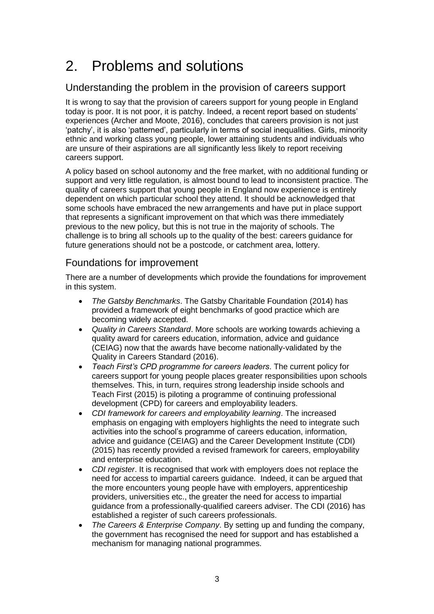# <span id="page-8-0"></span>2. Problems and solutions

#### <span id="page-8-1"></span>Understanding the problem in the provision of careers support

It is wrong to say that the provision of careers support for young people in England today is poor. It is not poor, it is patchy. Indeed, a recent report based on students' experiences (Archer and Moote, 2016), concludes that careers provision is not just 'patchy', it is also 'patterned', particularly in terms of social inequalities. Girls, minority ethnic and working class young people, lower attaining students and individuals who are unsure of their aspirations are all significantly less likely to report receiving careers support.

A policy based on school autonomy and the free market, with no additional funding or support and very little regulation, is almost bound to lead to inconsistent practice. The quality of careers support that young people in England now experience is entirely dependent on which particular school they attend. It should be acknowledged that some schools have embraced the new arrangements and have put in place support that represents a significant improvement on that which was there immediately previous to the new policy, but this is not true in the majority of schools. The challenge is to bring all schools up to the quality of the best: careers guidance for future generations should not be a postcode, or catchment area, lottery.

#### <span id="page-8-2"></span>Foundations for improvement

There are a number of developments which provide the foundations for improvement in this system.

- *The Gatsby Benchmarks*. The Gatsby Charitable Foundation (2014) has provided a framework of eight benchmarks of good practice which are becoming widely accepted.
- *Quality in Careers Standard*. More schools are working towards achieving a quality award for careers education, information, advice and guidance (CEIAG) now that the awards have become nationally-validated by the Quality in Careers Standard (2016).
- *Teach First's CPD programme for careers leaders*. The current policy for careers support for young people places greater responsibilities upon schools themselves. This, in turn, requires strong leadership inside schools and Teach First (2015) is piloting a programme of continuing professional development (CPD) for careers and employability leaders.
- *CDI framework for careers and employability learning*. The increased emphasis on engaging with employers highlights the need to integrate such activities into the school's programme of careers education, information, advice and guidance (CEIAG) and the Career Development Institute (CDI) (2015) has recently provided a revised framework for careers, employability and enterprise education.
- *CDI register*. It is recognised that work with employers does not replace the need for access to impartial careers guidance. Indeed, it can be argued that the more encounters young people have with employers, apprenticeship providers, universities etc., the greater the need for access to impartial guidance from a professionally-qualified careers adviser. The CDI (2016) has established a register of such careers professionals.
- *The Careers & Enterprise Company*. By setting up and funding the company, the government has recognised the need for support and has established a mechanism for managing national programmes.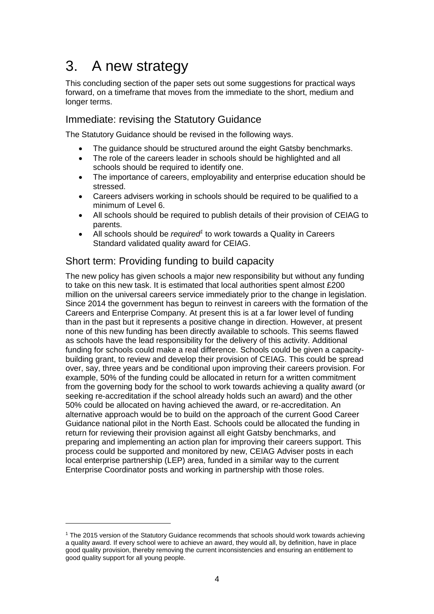## <span id="page-9-0"></span>3. A new strategy

This concluding section of the paper sets out some suggestions for practical ways forward, on a timeframe that moves from the immediate to the short, medium and longer terms.

#### <span id="page-9-1"></span>Immediate: revising the Statutory Guidance

The Statutory Guidance should be revised in the following ways.

- The guidance should be structured around the eight Gatsby benchmarks.
- The role of the careers leader in schools should be highlighted and all schools should be required to identify one.
- The importance of careers, employability and enterprise education should be stressed.
- Careers advisers working in schools should be required to be qualified to a minimum of Level 6.
- All schools should be required to publish details of their provision of CEIAG to parents.
- All schools should be *required<sup>1</sup>* to work towards a Quality in Careers Standard validated quality award for CEIAG.

#### <span id="page-9-2"></span>Short term: Providing funding to build capacity

The new policy has given schools a major new responsibility but without any funding to take on this new task. It is estimated that local authorities spent almost £200 million on the universal careers service immediately prior to the change in legislation. Since 2014 the government has begun to reinvest in careers with the formation of the Careers and Enterprise Company. At present this is at a far lower level of funding than in the past but it represents a positive change in direction. However, at present none of this new funding has been directly available to schools. This seems flawed as schools have the lead responsibility for the delivery of this activity. Additional funding for schools could make a real difference. Schools could be given a capacitybuilding grant, to review and develop their provision of CEIAG. This could be spread over, say, three years and be conditional upon improving their careers provision. For example, 50% of the funding could be allocated in return for a written commitment from the governing body for the school to work towards achieving a quality award (or seeking re-accreditation if the school already holds such an award) and the other 50% could be allocated on having achieved the award, or re-accreditation. An alternative approach would be to build on the approach of the current Good Career Guidance national pilot in the North East. Schools could be allocated the funding in return for reviewing their provision against all eight Gatsby benchmarks, and preparing and implementing an action plan for improving their careers support. This process could be supported and monitored by new, CEIAG Adviser posts in each local enterprise partnership (LEP) area, funded in a similar way to the current Enterprise Coordinator posts and working in partnership with those roles.

<sup>&</sup>lt;sup>1</sup> The 2015 version of the Statutory Guidance recommends that schools should work towards achieving a quality award. If every school were to achieve an award, they would all, by definition, have in place good quality provision, thereby removing the current inconsistencies and ensuring an entitlement to good quality support for all young people.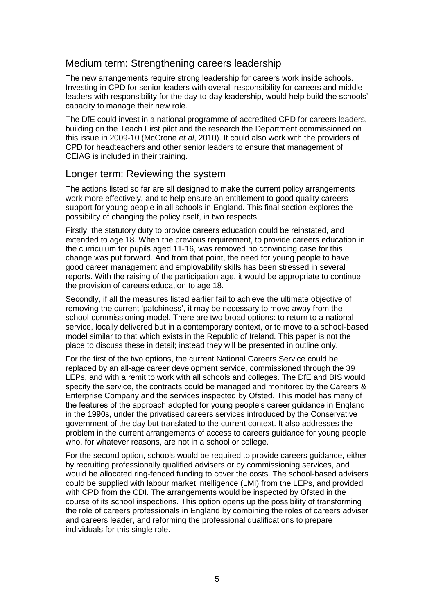#### <span id="page-10-0"></span>Medium term: Strengthening careers leadership

The new arrangements require strong leadership for careers work inside schools. Investing in CPD for senior leaders with overall responsibility for careers and middle leaders with responsibility for the day-to-day leadership, would help build the schools' capacity to manage their new role.

The DfE could invest in a national programme of accredited CPD for careers leaders, building on the Teach First pilot and the research the Department commissioned on this issue in 2009-10 (McCrone *et al*, 2010). It could also work with the providers of CPD for headteachers and other senior leaders to ensure that management of CEIAG is included in their training.

#### <span id="page-10-1"></span>Longer term: Reviewing the system

The actions listed so far are all designed to make the current policy arrangements work more effectively, and to help ensure an entitlement to good quality careers support for young people in all schools in England. This final section explores the possibility of changing the policy itself, in two respects.

Firstly, the statutory duty to provide careers education could be reinstated, and extended to age 18. When the previous requirement, to provide careers education in the curriculum for pupils aged 11-16, was removed no convincing case for this change was put forward. And from that point, the need for young people to have good career management and employability skills has been stressed in several reports. With the raising of the participation age, it would be appropriate to continue the provision of careers education to age 18.

Secondly, if all the measures listed earlier fail to achieve the ultimate objective of removing the current 'patchiness', it may be necessary to move away from the school-commissioning model. There are two broad options: to return to a national service, locally delivered but in a contemporary context, or to move to a school-based model similar to that which exists in the Republic of Ireland. This paper is not the place to discuss these in detail; instead they will be presented in outline only.

For the first of the two options, the current National Careers Service could be replaced by an all-age career development service, commissioned through the 39 LEPs, and with a remit to work with all schools and colleges. The DfE and BIS would specify the service, the contracts could be managed and monitored by the Careers & Enterprise Company and the services inspected by Ofsted. This model has many of the features of the approach adopted for young people's career guidance in England in the 1990s, under the privatised careers services introduced by the Conservative government of the day but translated to the current context. It also addresses the problem in the current arrangements of access to careers guidance for young people who, for whatever reasons, are not in a school or college.

For the second option, schools would be required to provide careers guidance, either by recruiting professionally qualified advisers or by commissioning services, and would be allocated ring-fenced funding to cover the costs. The school-based advisers could be supplied with labour market intelligence (LMI) from the LEPs, and provided with CPD from the CDI. The arrangements would be inspected by Ofsted in the course of its school inspections. This option opens up the possibility of transforming the role of careers professionals in England by combining the roles of careers adviser and careers leader, and reforming the professional qualifications to prepare individuals for this single role.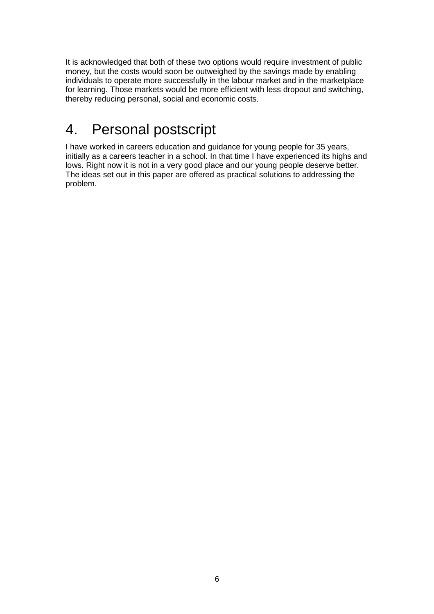It is acknowledged that both of these two options would require investment of public money, but the costs would soon be outweighed by the savings made by enabling individuals to operate more successfully in the labour market and in the marketplace for learning. Those markets would be more efficient with less dropout and switching, thereby reducing personal, social and economic costs.

## <span id="page-11-0"></span>4. Personal postscript

I have worked in careers education and guidance for young people for 35 years, initially as a careers teacher in a school. In that time I have experienced its highs and lows. Right now it is not in a very good place and our young people deserve better. The ideas set out in this paper are offered as practical solutions to addressing the problem.